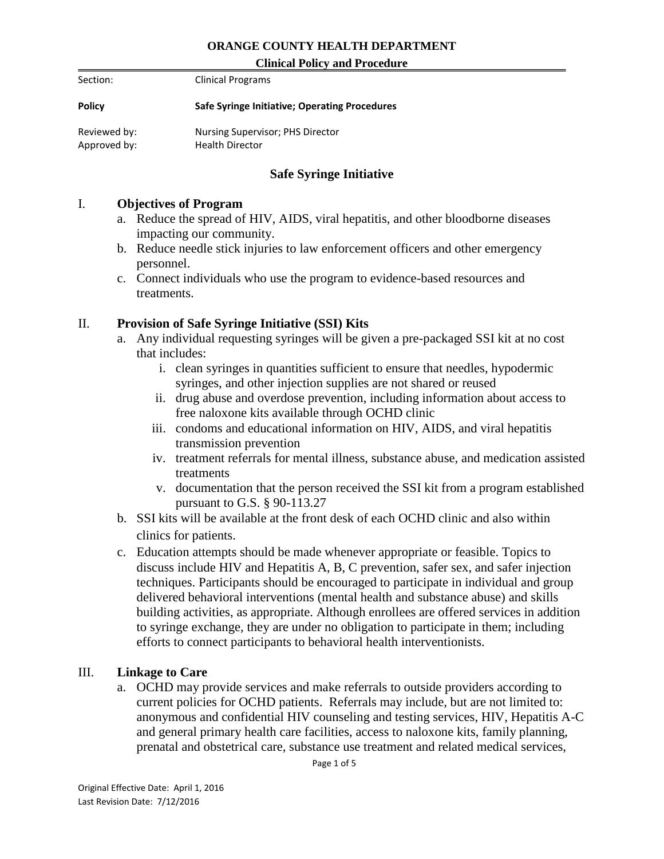**Clinical Policy and Procedure** 

| Policy | <b>Safe Syringe Initiative; Operating Procedures</b> |
|--------|------------------------------------------------------|
|        |                                                      |

Reviewed by: Nursing Supervisor; PHS Director Approved by: Health Director

### **Safe Syringe Initiative**

#### I. **Objectives of Program**

- a. Reduce the spread of HIV, AIDS, viral hepatitis, and other bloodborne diseases impacting our community.
- b. Reduce needle stick injuries to law enforcement officers and other emergency personnel.
- c. Connect individuals who use the program to evidence-based resources and treatments.

### II. **Provision of Safe Syringe Initiative (SSI) Kits**

- a. Any individual requesting syringes will be given a pre-packaged SSI kit at no cost that includes:
	- i. clean syringes in quantities sufficient to ensure that needles, hypodermic syringes, and other injection supplies are not shared or reused
	- ii. drug abuse and overdose prevention, including information about access to free naloxone kits available through OCHD clinic
	- iii. condoms and educational information on HIV, AIDS, and viral hepatitis transmission prevention
	- iv. treatment referrals for mental illness, substance abuse, and medication assisted treatments
	- v. documentation that the person received the SSI kit from a program established pursuant to G.S. § 90-113.27
- b. SSI kits will be available at the front desk of each OCHD clinic and also within clinics for patients.
- c. Education attempts should be made whenever appropriate or feasible. Topics to discuss include HIV and Hepatitis A, B, C prevention, safer sex, and safer injection techniques. Participants should be encouraged to participate in individual and group delivered behavioral interventions (mental health and substance abuse) and skills building activities, as appropriate. Although enrollees are offered services in addition to syringe exchange, they are under no obligation to participate in them; including efforts to connect participants to behavioral health interventionists.

### III. **Linkage to Care**

a. OCHD may provide services and make referrals to outside providers according to current policies for OCHD patients. Referrals may include, but are not limited to: anonymous and confidential HIV counseling and testing services, HIV, Hepatitis A-C and general primary health care facilities, access to naloxone kits, family planning, prenatal and obstetrical care, substance use treatment and related medical services,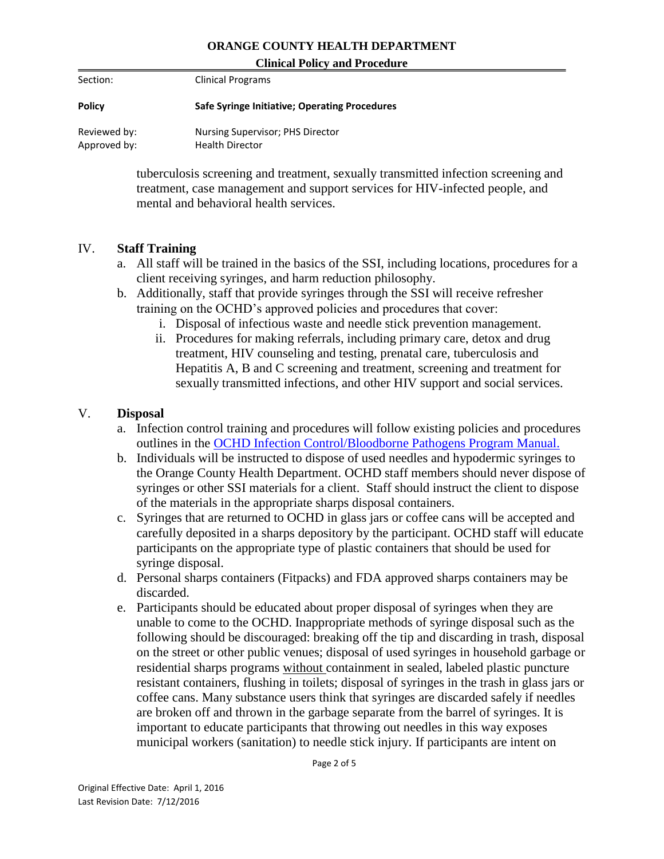**Clinical Policy and Procedure** 

| Section:                     | <b>Clinical Programs</b>                                   |
|------------------------------|------------------------------------------------------------|
| <b>Policy</b>                | Safe Syringe Initiative; Operating Procedures              |
| Reviewed by:<br>Approved by: | Nursing Supervisor; PHS Director<br><b>Health Director</b> |

tuberculosis screening and treatment, sexually transmitted infection screening and treatment, case management and support services for HIV-infected people, and mental and behavioral health services.

### IV. **Staff Training**

- a. All staff will be trained in the basics of the SSI, including locations, procedures for a client receiving syringes, and harm reduction philosophy.
- b. Additionally, staff that provide syringes through the SSI will receive refresher training on the OCHD's approved policies and procedures that cover:
	- i. Disposal of infectious waste and needle stick prevention management.
	- ii. Procedures for making referrals, including primary care, detox and drug treatment, HIV counseling and testing, prenatal care, tuberculosis and Hepatitis A, B and C screening and treatment, screening and treatment for sexually transmitted infections, and other HIV support and social services.

### V. **Disposal**

- a. Infection control training and procedures will follow existing policies and procedures outlines in the [OCHD Infection Control/Bloodborne Pathogens Program Manual.](file://///kingcharles/Depts_AH/Health/COMMON/Plans%20&%20Policy%20Manuals/Infection%20Control%20-%20Bloodborne%20Pathogens)
- b. Individuals will be instructed to dispose of used needles and hypodermic syringes to the Orange County Health Department. OCHD staff members should never dispose of syringes or other SSI materials for a client. Staff should instruct the client to dispose of the materials in the appropriate sharps disposal containers.
- c. Syringes that are returned to OCHD in glass jars or coffee cans will be accepted and carefully deposited in a sharps depository by the participant. OCHD staff will educate participants on the appropriate type of plastic containers that should be used for syringe disposal.
- d. Personal sharps containers (Fitpacks) and FDA approved sharps containers may be discarded.
- e. Participants should be educated about proper disposal of syringes when they are unable to come to the OCHD. Inappropriate methods of syringe disposal such as the following should be discouraged: breaking off the tip and discarding in trash, disposal on the street or other public venues; disposal of used syringes in household garbage or residential sharps programs without containment in sealed, labeled plastic puncture resistant containers, flushing in toilets; disposal of syringes in the trash in glass jars or coffee cans. Many substance users think that syringes are discarded safely if needles are broken off and thrown in the garbage separate from the barrel of syringes. It is important to educate participants that throwing out needles in this way exposes municipal workers (sanitation) to needle stick injury. If participants are intent on

Page 2 of 5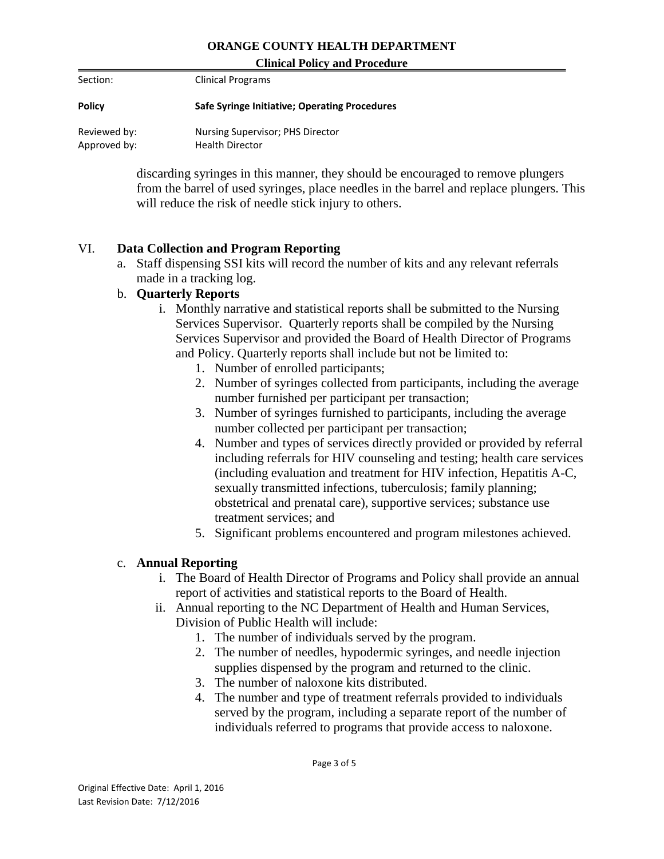**Clinical Policy and Procedure** 

| Section:                     | <b>Clinical Programs</b>                                   |
|------------------------------|------------------------------------------------------------|
| <b>Policy</b>                | Safe Syringe Initiative; Operating Procedures              |
| Reviewed by:<br>Approved by: | Nursing Supervisor; PHS Director<br><b>Health Director</b> |

discarding syringes in this manner, they should be encouraged to remove plungers from the barrel of used syringes, place needles in the barrel and replace plungers. This will reduce the risk of needle stick injury to others.

# VI. **Data Collection and Program Reporting**

a. Staff dispensing SSI kits will record the number of kits and any relevant referrals made in a tracking log.

### b. **Quarterly Reports**

- i. Monthly narrative and statistical reports shall be submitted to the Nursing Services Supervisor. Quarterly reports shall be compiled by the Nursing Services Supervisor and provided the Board of Health Director of Programs and Policy. Quarterly reports shall include but not be limited to:
	- 1. Number of enrolled participants;
	- 2. Number of syringes collected from participants, including the average number furnished per participant per transaction;
	- 3. Number of syringes furnished to participants, including the average number collected per participant per transaction;
	- 4. Number and types of services directly provided or provided by referral including referrals for HIV counseling and testing; health care services (including evaluation and treatment for HIV infection, Hepatitis A-C, sexually transmitted infections, tuberculosis; family planning; obstetrical and prenatal care), supportive services; substance use treatment services; and
	- 5. Significant problems encountered and program milestones achieved.

# c. **Annual Reporting**

- i. The Board of Health Director of Programs and Policy shall provide an annual report of activities and statistical reports to the Board of Health.
- ii. Annual reporting to the NC Department of Health and Human Services, Division of Public Health will include:
	- 1. The number of individuals served by the program.
	- 2. The number of needles, hypodermic syringes, and needle injection supplies dispensed by the program and returned to the clinic.
	- 3. The number of naloxone kits distributed.
	- 4. The number and type of treatment referrals provided to individuals served by the program, including a separate report of the number of individuals referred to programs that provide access to naloxone.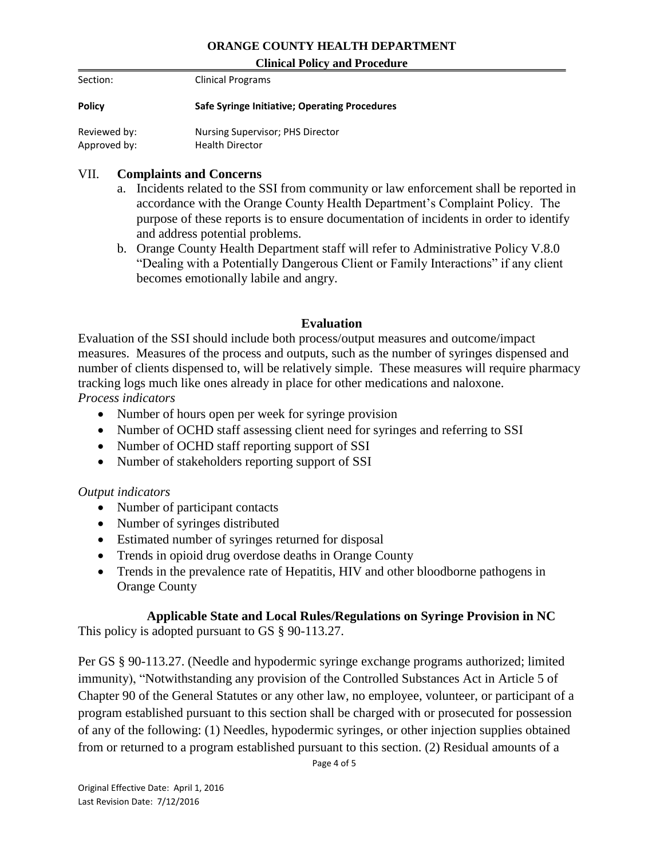**Clinical Policy and Procedure** 

| Section:                     | <b>Clinical Programs</b>                                   |  |
|------------------------------|------------------------------------------------------------|--|
| <b>Policy</b>                | Safe Syringe Initiative; Operating Procedures              |  |
| Reviewed by:<br>Approved by: | Nursing Supervisor; PHS Director<br><b>Health Director</b> |  |

#### VII. **Complaints and Concerns**

- a. Incidents related to the SSI from community or law enforcement shall be reported in accordance with the Orange County Health Department's Complaint Policy. The purpose of these reports is to ensure documentation of incidents in order to identify and address potential problems.
- b. Orange County Health Department staff will refer to Administrative Policy V.8.0 "Dealing with a Potentially Dangerous Client or Family Interactions" if any client becomes emotionally labile and angry.

### **Evaluation**

Evaluation of the SSI should include both process/output measures and outcome/impact measures. Measures of the process and outputs, such as the number of syringes dispensed and number of clients dispensed to, will be relatively simple. These measures will require pharmacy tracking logs much like ones already in place for other medications and naloxone.

*Process indicators*

- Number of hours open per week for syringe provision
- Number of OCHD staff assessing client need for syringes and referring to SSI
- Number of OCHD staff reporting support of SSI
- Number of stakeholders reporting support of SSI

### *Output indicators*

- Number of participant contacts
- Number of syringes distributed
- Estimated number of syringes returned for disposal
- Trends in opioid drug overdose deaths in Orange County
- Trends in the prevalence rate of Hepatitis, HIV and other bloodborne pathogens in Orange County

### **Applicable State and Local Rules/Regulations on Syringe Provision in NC**

This policy is adopted pursuant to GS § 90-113.27.

Per GS § 90-113.27. (Needle and hypodermic syringe exchange programs authorized; limited immunity), "Notwithstanding any provision of the Controlled Substances Act in Article 5 of Chapter 90 of the General Statutes or any other law, no employee, volunteer, or participant of a program established pursuant to this section shall be charged with or prosecuted for possession of any of the following: (1) Needles, hypodermic syringes, or other injection supplies obtained from or returned to a program established pursuant to this section. (2) Residual amounts of a

Page 4 of 5